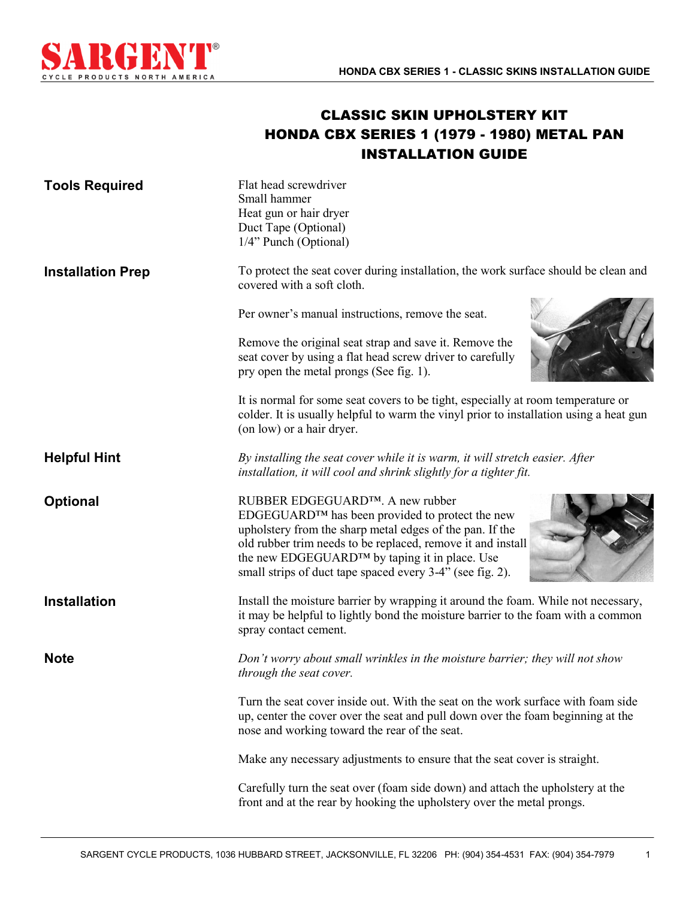

## CLASSIC SKIN UPHOLSTERY KIT HONDA CBX SERIES 1 (1979 - 1980) METAL PAN INSTALLATION GUIDE

| <b>Tools Required</b>    | Flat head screwdriver<br>Small hammer<br>Heat gun or hair dryer<br>Duct Tape (Optional)<br>1/4" Punch (Optional)                                                                                                                                                                                                                        |
|--------------------------|-----------------------------------------------------------------------------------------------------------------------------------------------------------------------------------------------------------------------------------------------------------------------------------------------------------------------------------------|
| <b>Installation Prep</b> | To protect the seat cover during installation, the work surface should be clean and<br>covered with a soft cloth.                                                                                                                                                                                                                       |
|                          | Per owner's manual instructions, remove the seat.                                                                                                                                                                                                                                                                                       |
|                          | Remove the original seat strap and save it. Remove the<br>seat cover by using a flat head screw driver to carefully<br>pry open the metal prongs (See fig. 1).                                                                                                                                                                          |
|                          | It is normal for some seat covers to be tight, especially at room temperature or<br>colder. It is usually helpful to warm the vinyl prior to installation using a heat gun<br>(on low) or a hair dryer.                                                                                                                                 |
| <b>Helpful Hint</b>      | By installing the seat cover while it is warm, it will stretch easier. After<br>installation, it will cool and shrink slightly for a tighter fit.                                                                                                                                                                                       |
| <b>Optional</b>          | RUBBER EDGEGUARD™. A new rubber<br>EDGEGUARD™ has been provided to protect the new<br>upholstery from the sharp metal edges of the pan. If the<br>old rubber trim needs to be replaced, remove it and install<br>the new EDGEGUARD <sup>™</sup> by taping it in place. Use<br>small strips of duct tape spaced every 3-4" (see fig. 2). |
| <b>Installation</b>      | Install the moisture barrier by wrapping it around the foam. While not necessary,<br>it may be helpful to lightly bond the moisture barrier to the foam with a common<br>spray contact cement.                                                                                                                                          |
| <b>Note</b>              | Don't worry about small wrinkles in the moisture barrier; they will not show<br>through the seat cover.                                                                                                                                                                                                                                 |
|                          | Turn the seat cover inside out. With the seat on the work surface with foam side<br>up, center the cover over the seat and pull down over the foam beginning at the<br>nose and working toward the rear of the seat.                                                                                                                    |
|                          | Make any necessary adjustments to ensure that the seat cover is straight.                                                                                                                                                                                                                                                               |
|                          | Carefully turn the seat over (foam side down) and attach the upholstery at the<br>front and at the rear by hooking the upholstery over the metal prongs.                                                                                                                                                                                |

1